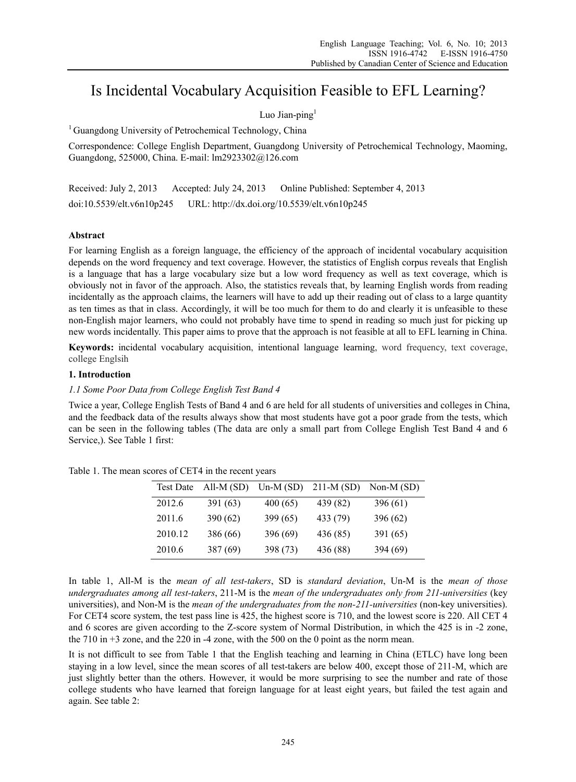# Is Incidental Vocabulary Acquisition Feasible to EFL Learning?

# Luo Jian-ping $<sup>1</sup>$ </sup>

<sup>1</sup> Guangdong University of Petrochemical Technology, China

Correspondence: College English Department, Guangdong University of Petrochemical Technology, Maoming, Guangdong, 525000, China. E-mail: lm2923302@126.com

Received: July 2, 2013 Accepted: July 24, 2013 Online Published: September 4, 2013 doi:10.5539/elt.v6n10p245 URL: http://dx.doi.org/10.5539/elt.v6n10p245

# **Abstract**

For learning English as a foreign language, the efficiency of the approach of incidental vocabulary acquisition depends on the word frequency and text coverage. However, the statistics of English corpus reveals that English is a language that has a large vocabulary size but a low word frequency as well as text coverage, which is obviously not in favor of the approach. Also, the statistics reveals that, by learning English words from reading incidentally as the approach claims, the learners will have to add up their reading out of class to a large quantity as ten times as that in class. Accordingly, it will be too much for them to do and clearly it is unfeasible to these non-English major learners, who could not probably have time to spend in reading so much just for picking up new words incidentally. This paper aims to prove that the approach is not feasible at all to EFL learning in China.

**Keywords:** incidental vocabulary acquisition, intentional language learning, word frequency, text coverage, college Englsih

# **1. Introduction**

# *1.1 Some Poor Data from College English Test Band 4*

Twice a year, College English Tests of Band 4 and 6 are held for all students of universities and colleges in China, and the feedback data of the results always show that most students have got a poor grade from the tests, which can be seen in the following tables (The data are only a small part from College English Test Band 4 and 6 Service,). See Table 1 first:

| <b>Test Date</b> | All-M $(SD)$ | $Un-M(SD)$ | $211-M (SD)$ | Non-M $(SD)$ |
|------------------|--------------|------------|--------------|--------------|
| 2012.6           | 391(63)      | 400(65)    | 439 (82)     | 396 (61)     |
| 2011.6           | 390 (62)     | 399 (65)   | 433 (79)     | 396 (62)     |
| 2010.12          | 386 (66)     | 396 (69)   | 436 (85)     | 391 (65)     |
| 2010.6           | 387 (69)     | 398 (73)   | 436 (88)     | 394 (69)     |

Table 1. The mean scores of CET4 in the recent years

In table 1, All-M is the *mean of all test-takers*, SD is *standard deviation*, Un-M is the *mean of those undergraduates among all test-takers*, 211-M is the *mean of the undergraduates only from 211-universities* (key universities), and Non-M is the *mean of the undergraduates from the non-211-universities* (non-key universities). For CET4 score system, the test pass line is 425, the highest score is 710, and the lowest score is 220. All CET 4 and 6 scores are given according to the Z-score system of Normal Distribution, in which the 425 is in -2 zone, the 710 in  $+3$  zone, and the 220 in  $-4$  zone, with the 500 on the 0 point as the norm mean.

It is not difficult to see from Table 1 that the English teaching and learning in China (ETLC) have long been staying in a low level, since the mean scores of all test-takers are below 400, except those of 211-M, which are just slightly better than the others. However, it would be more surprising to see the number and rate of those college students who have learned that foreign language for at least eight years, but failed the test again and again. See table 2: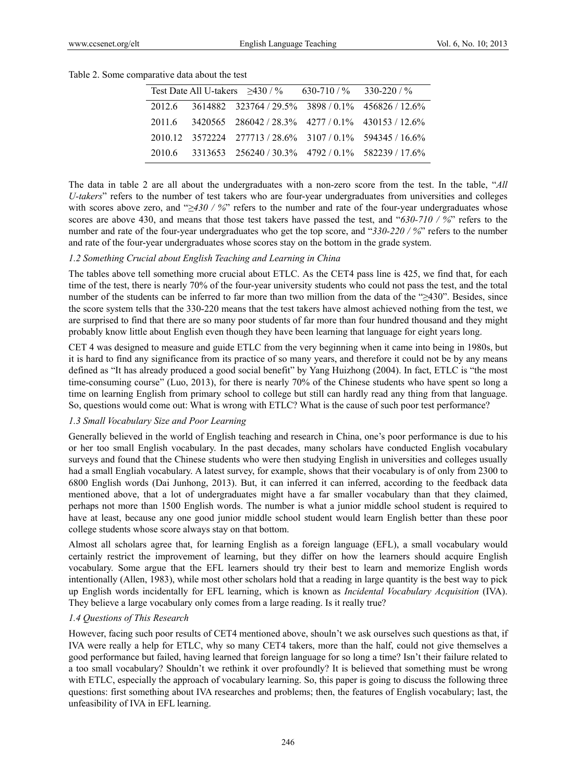|  | Test Date All U-takers $>430/$ %                          | $630-710/$ % 330-220/% |  |
|--|-----------------------------------------------------------|------------------------|--|
|  | 2012.6 3614882 323764 / 29.5% 3898 / 0.1% 456826 / 12.6%  |                        |  |
|  | 2011.6 3420565 286042/28.3% 4277/0.1% 430153/12.6%        |                        |  |
|  | 2010.12 3572224 277713 / 28.6% 3107 / 0.1% 594345 / 16.6% |                        |  |
|  | 2010.6 3313653 256240 / 30.3% 4792 / 0.1% 582239 / 17.6%  |                        |  |

Table 2. Some comparative data about the test

The data in table 2 are all about the undergraduates with a non-zero score from the test. In the table, "*All U-takers*" refers to the number of test takers who are four-year undergraduates from universities and colleges with scores above zero, and "*≥430 / %*" refers to the number and rate of the four-year undergraduates whose scores are above 430, and means that those test takers have passed the test, and "*630-710 / %*" refers to the number and rate of the four-year undergraduates who get the top score, and "*330-220 / %*" refers to the number and rate of the four-year undergraduates whose scores stay on the bottom in the grade system.

#### *1.2 Something Crucial about English Teaching and Learning in China*

The tables above tell something more crucial about ETLC. As the CET4 pass line is 425, we find that, for each time of the test, there is nearly 70% of the four-year university students who could not pass the test, and the total number of the students can be inferred to far more than two million from the data of the "≥430". Besides, since the score system tells that the 330-220 means that the test takers have almost achieved nothing from the test, we are surprised to find that there are so many poor students of far more than four hundred thousand and they might probably know little about English even though they have been learning that language for eight years long.

CET 4 was designed to measure and guide ETLC from the very beginning when it came into being in 1980s, but it is hard to find any significance from its practice of so many years, and therefore it could not be by any means defined as "It has already produced a good social benefit" by Yang Huizhong (2004). In fact, ETLC is "the most time-consuming course" (Luo, 2013), for there is nearly 70% of the Chinese students who have spent so long a time on learning English from primary school to college but still can hardly read any thing from that language. So, questions would come out: What is wrong with ETLC? What is the cause of such poor test performance?

# *1.3 Small Vocabulary Size and Poor Learning*

Generally believed in the world of English teaching and research in China, one's poor performance is due to his or her too small English vocabulary. In the past decades, many scholars have conducted English vocabulary surveys and found that the Chinese students who were then studying English in universities and colleges usually had a small Engliah vocabulary. A latest survey, for example, shows that their vocabulary is of only from 2300 to 6800 English words (Dai Junhong, 2013). But, it can inferred it can inferred, according to the feedback data mentioned above, that a lot of undergraduates might have a far smaller vocabulary than that they claimed, perhaps not more than 1500 English words. The number is what a junior middle school student is required to have at least, because any one good junior middle school student would learn English better than these poor college students whose score always stay on that bottom.

Almost all scholars agree that, for learning English as a foreign language (EFL), a small vocabulary would certainly restrict the improvement of learning, but they differ on how the learners should acquire English vocabulary. Some argue that the EFL learners should try their best to learn and memorize English words intentionally (Allen, 1983), while most other scholars hold that a reading in large quantity is the best way to pick up English words incidentally for EFL learning, which is known as *Incidental Vocabulary Acquisition* (IVA). They believe a large vocabulary only comes from a large reading. Is it really true?

# *1.4 Questions of This Research*

However, facing such poor results of CET4 mentioned above, shouln't we ask ourselves such questions as that, if IVA were really a help for ETLC, why so many CET4 takers, more than the half, could not give themselves a good performance but failed, having learned that foreign language for so long a time? Isn't their failure related to a too small vocabulary? Shouldn't we rethink it over profoundly? It is believed that something must be wrong with ETLC, especially the approach of vocabulary learning. So, this paper is going to discuss the following three questions: first something about IVA researches and problems; then, the features of English vocabulary; last, the unfeasibility of IVA in EFL learning.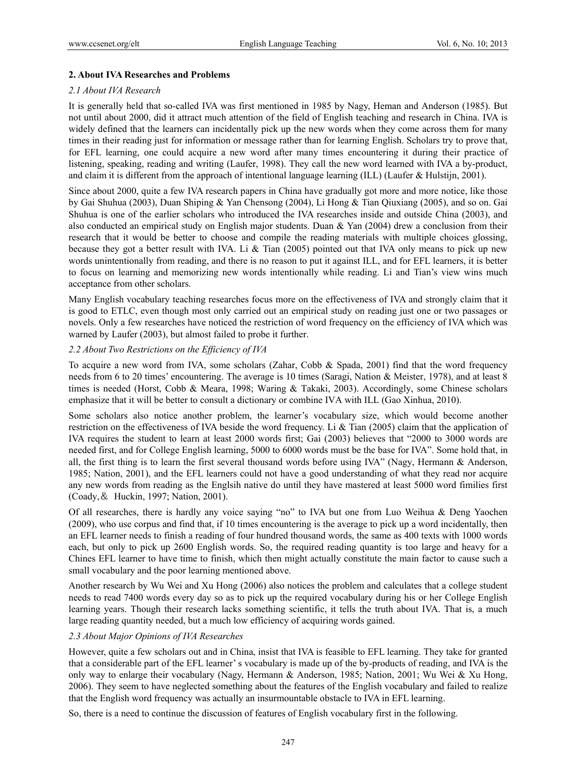# **2. About IVA Researches and Problems**

#### *2.1 About IVA Research*

It is generally held that so-called IVA was first mentioned in 1985 by Nagy, Heman and Anderson (1985). But not until about 2000, did it attract much attention of the field of English teaching and research in China. IVA is widely defined that the learners can incidentally pick up the new words when they come across them for many times in their reading just for information or message rather than for learning English. Scholars try to prove that, for EFL learning, one could acquire a new word after many times encountering it during their practice of listening, speaking, reading and writing (Laufer, 1998). They call the new word learned with IVA a by-product, and claim it is different from the approach of intentional language learning (ILL) (Laufer & Hulstijn, 2001).

Since about 2000, quite a few IVA research papers in China have gradually got more and more notice, like those by Gai Shuhua (2003), Duan Shiping & Yan Chensong (2004), Li Hong & Tian Qiuxiang (2005), and so on. Gai Shuhua is one of the earlier scholars who introduced the IVA researches inside and outside China (2003), and also conducted an empirical study on English major students. Duan & Yan (2004) drew a conclusion from their research that it would be better to choose and compile the reading materials with multiple choices glossing, because they got a better result with IVA. Li & Tian (2005) pointed out that IVA only means to pick up new words unintentionally from reading, and there is no reason to put it against ILL, and for EFL learners, it is better to focus on learning and memorizing new words intentionally while reading. Li and Tian's view wins much acceptance from other scholars.

Many English vocabulary teaching researches focus more on the effectiveness of IVA and strongly claim that it is good to ETLC, even though most only carried out an empirical study on reading just one or two passages or novels. Only a few researches have noticed the restriction of word frequency on the efficiency of IVA which was warned by Laufer (2003), but almost failed to probe it further.

# *2.2 About Two Restrictions on the Efficiency of IVA*

To acquire a new word from IVA, some scholars (Zahar, Cobb & Spada, 2001) find that the word frequency needs from 6 to 20 times' encountering. The average is 10 times (Saragi, Nation & Meister, 1978), and at least 8 times is needed (Horst, Cobb & Meara, 1998; Waring & Takaki, 2003). Accordingly, some Chinese scholars emphasize that it will be better to consult a dictionary or combine IVA with ILL (Gao Xinhua, 2010).

Some scholars also notice another problem, the learner's vocabulary size, which would become another restriction on the effectiveness of IVA beside the word frequency. Li & Tian (2005) claim that the application of IVA requires the student to learn at least 2000 words first; Gai (2003) believes that "2000 to 3000 words are needed first, and for College English learning, 5000 to 6000 words must be the base for IVA". Some hold that, in all, the first thing is to learn the first several thousand words before using IVA" (Nagy, Hermann & Anderson, 1985; Nation, 2001), and the EFL learners could not have a good understanding of what they read nor acquire any new words from reading as the Englsih native do until they have mastered at least 5000 word fimilies first (Coady,& Huckin, 1997; Nation, 2001).

Of all researches, there is hardly any voice saying "no" to IVA but one from Luo Weihua & Deng Yaochen (2009), who use corpus and find that, if 10 times encountering is the average to pick up a word incidentally, then an EFL learner needs to finish a reading of four hundred thousand words, the same as 400 texts with 1000 words each, but only to pick up 2600 English words. So, the required reading quantity is too large and heavy for a Chines EFL learner to have time to finish, which then might actually constitute the main factor to cause such a small vocabulary and the poor learning mentioned above.

Another research by Wu Wei and Xu Hong (2006) also notices the problem and calculates that a college student needs to read 7400 words every day so as to pick up the required vocabulary during his or her College English learning years. Though their research lacks something scientific, it tells the truth about IVA. That is, a much large reading quantity needed, but a much low efficiency of acquiring words gained.

# *2.3 About Major Opinions of IVA Researches*

However, quite a few scholars out and in China, insist that IVA is feasible to EFL learning. They take for granted that a considerable part of the EFL learner' s vocabulary is made up of the by-products of reading, and IVA is the only way to enlarge their vocabulary (Nagy, Hermann & Anderson, 1985; Nation, 2001; Wu Wei & Xu Hong, 2006). They seem to have neglected something about the features of the English vocabulary and failed to realize that the English word frequency was actually an insurmountable obstacle to IVA in EFL learning.

So, there is a need to continue the discussion of features of English vocabulary first in the following.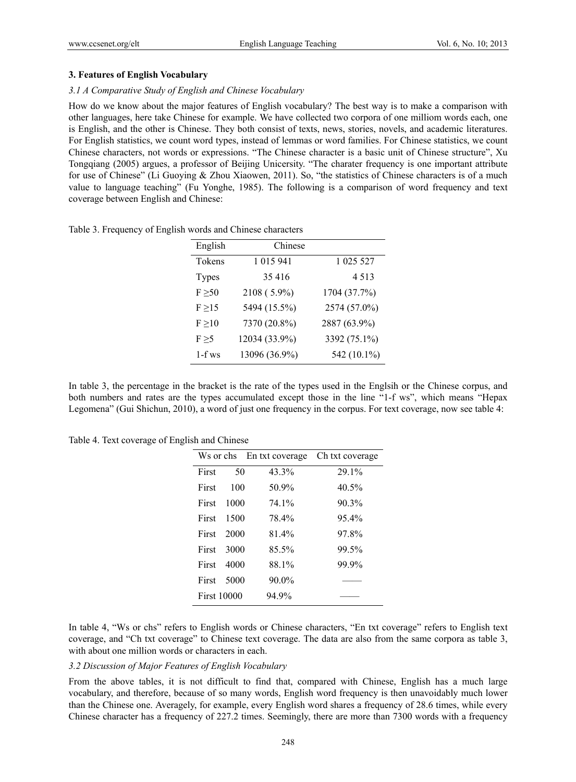### **3. Features of English Vocabulary**

#### *3.1 A Comparative Study of English and Chinese Vocabulary*

How do we know about the major features of English vocabulary? The best way is to make a comparison with other languages, here take Chinese for example. We have collected two corpora of one milliom words each, one is English, and the other is Chinese. They both consist of texts, news, stories, novels, and academic literatures. For English statistics, we count word types, instead of lemmas or word families. For Chinese statistics, we count Chinese characters, not words or expressions. "The Chinese character is a basic unit of Chinese structure", Xu Tongqiang (2005) argues, a professor of Beijing Unicersity. "The charater frequency is one important attribute for use of Chinese" (Li Guoying & Zhou Xiaowen, 2011). So, "the statistics of Chinese characters is of a much value to language teaching" (Fu Yonghe, 1985). The following is a comparison of word frequency and text coverage between English and Chinese:

| English      | Chinese       |              |
|--------------|---------------|--------------|
| Tokens       | 1 015 941     | 1 025 527    |
| <b>Types</b> | 35 416        | 4 5 1 3      |
| F > 50       | 2108 (5.9%)   | 1704 (37.7%) |
| F > 15       | 5494 (15.5%)  | 2574 (57.0%) |
| F > 10       | 7370 (20.8%)  | 2887 (63.9%) |
| F > 5        | 12034 (33.9%) | 3392 (75.1%) |
| $1-f$ ws     | 13096 (36.9%) | 542 (10.1%)  |

Table 3. Frequency of English words and Chinese characters

In table 3, the percentage in the bracket is the rate of the types used in the Englsih or the Chinese corpus, and both numbers and rates are the types accumulated except those in the line "1-f ws", which means "Hepax Legomena" (Gui Shichun, 2010), a word of just one frequency in the corpus. For text coverage, now see table 4:

Table 4. Text coverage of English and Chinese

|                    |      | Ws or chs En txt coverage | Ch txt coverage |
|--------------------|------|---------------------------|-----------------|
| First              | 50   | 43.3%                     | 29.1%           |
| First              | 100  | 50.9%                     | 40.5%           |
| First              | 1000 | 74.1%                     | 90.3%           |
| First              | 1500 | 78.4%                     | 95.4%           |
| First              | 2000 | 81.4%                     | 97.8%           |
| First              | 3000 | 85.5%                     | 99.5%           |
| First              | 4000 | 88.1%                     | 99.9%           |
| First              | 5000 | $90.0\%$                  |                 |
| <b>First 10000</b> |      | 94.9%                     |                 |

In table 4, "Ws or chs" refers to English words or Chinese characters, "En txt coverage" refers to English text coverage, and "Ch txt coverage" to Chinese text coverage. The data are also from the same corpora as table 3, with about one million words or characters in each.

#### *3.2 Discussion of Major Features of English Vocabulary*

From the above tables, it is not difficult to find that, compared with Chinese, English has a much large vocabulary, and therefore, because of so many words, English word frequency is then unavoidably much lower than the Chinese one. Averagely, for example, every English word shares a frequency of 28.6 times, while every Chinese character has a frequency of 227.2 times. Seemingly, there are more than 7300 words with a frequency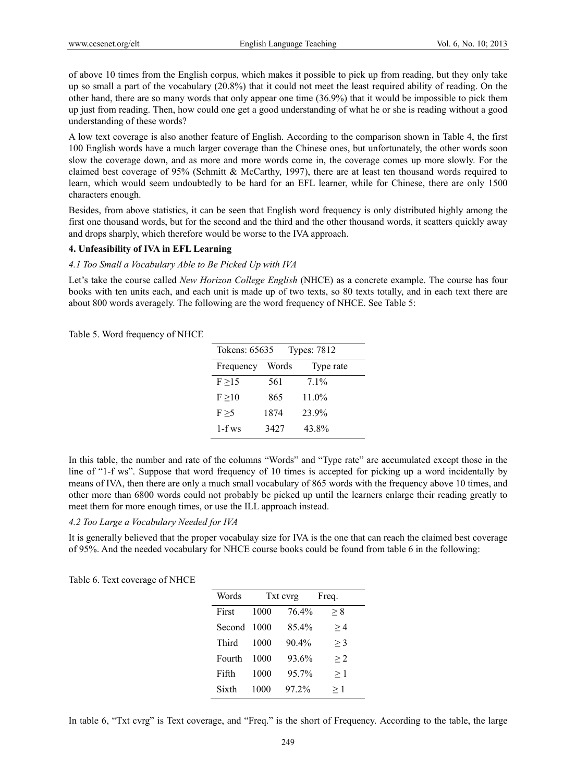of above 10 times from the English corpus, which makes it possible to pick up from reading, but they only take up so small a part of the vocabulary (20.8%) that it could not meet the least required ability of reading. On the other hand, there are so many words that only appear one time (36.9%) that it would be impossible to pick them up just from reading. Then, how could one get a good understanding of what he or she is reading without a good understanding of these words?

A low text coverage is also another feature of English. According to the comparison shown in Table 4, the first 100 English words have a much larger coverage than the Chinese ones, but unfortunately, the other words soon slow the coverage down, and as more and more words come in, the coverage comes up more slowly. For the claimed best coverage of 95% (Schmitt & McCarthy, 1997), there are at least ten thousand words required to learn, which would seem undoubtedly to be hard for an EFL learner, while for Chinese, there are only 1500 characters enough.

Besides, from above statistics, it can be seen that English word frequency is only distributed highly among the first one thousand words, but for the second and the third and the other thousand words, it scatters quickly away and drops sharply, which therefore would be worse to the IVA approach.

### **4. Unfeasibility of IVA in EFL Learning**

#### *4.1 Too Small a Vocabulary Able to Be Picked Up with IVA*

Let's take the course called *New Horizon College English* (NHCE) as a concrete example. The course has four books with ten units each, and each unit is made up of two texts, so 80 texts totally, and in each text there are about 800 words averagely. The following are the word frequency of NHCE. See Table 5:

Table 5. Word frequency of NHCE

| Tokens: 65635<br><b>Types: 7812</b> |       |           |
|-------------------------------------|-------|-----------|
| Frequency                           | Words | Type rate |
| F > 15                              | 561   | $71\%$    |
| $F \geq 10$                         | 865   | $11.0\%$  |
| F > 5                               | 1874  | 23.9%     |
| $1-f$ ws                            | 3427  | 43.8%     |

In this table, the number and rate of the columns "Words" and "Type rate" are accumulated except those in the line of "1-f ws". Suppose that word frequency of 10 times is accepted for picking up a word incidentally by means of IVA, then there are only a much small vocabulary of 865 words with the frequency above 10 times, and other more than 6800 words could not probably be picked up until the learners enlarge their reading greatly to meet them for more enough times, or use the ILL approach instead.

# *4.2 Too Large a Vocabulary Needed for IVA*

It is generally believed that the proper vocabulay size for IVA is the one that can reach the claimed best coverage of 95%. And the needed vocabulary for NHCE course books could be found from table 6 in the following:

| Words  | Txt cyrg |          | Freq.    |
|--------|----------|----------|----------|
| First  | 1000     | 76.4%    | > 8      |
| Second | 1000     | 854%     | >4       |
| Third  | 1000     | $90.4\%$ | $>$ 3    |
| Fourth | 1000     | 93.6%    | >2       |
| Fifth  | 1000     | 95.7%    | $\geq 1$ |
| Sixth  | 1000     | 97.2%    | $\geq 1$ |

Table 6. Text coverage of NHCE

In table 6, "Txt cvrg" is Text coverage, and "Freq." is the short of Frequency. According to the table, the large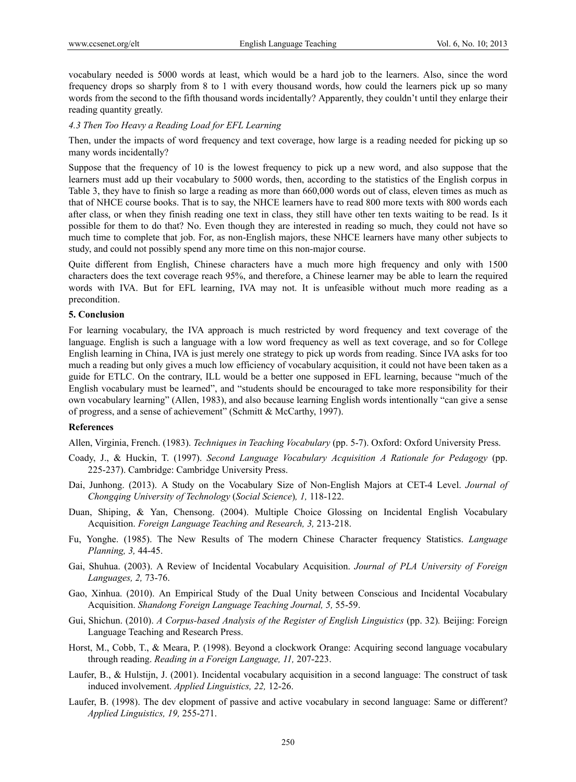vocabulary needed is 5000 words at least, which would be a hard job to the learners. Also, since the word frequency drops so sharply from 8 to 1 with every thousand words, how could the learners pick up so many words from the second to the fifth thousand words incidentally? Apparently, they couldn't until they enlarge their reading quantity greatly.

### *4.3 Then Too Heavy a Reading Load for EFL Learning*

Then, under the impacts of word frequency and text coverage, how large is a reading needed for picking up so many words incidentally?

Suppose that the frequency of 10 is the lowest frequency to pick up a new word, and also suppose that the learners must add up their vocabulary to 5000 words, then, according to the statistics of the English corpus in Table 3, they have to finish so large a reading as more than 660,000 words out of class, eleven times as much as that of NHCE course books. That is to say, the NHCE learners have to read 800 more texts with 800 words each after class, or when they finish reading one text in class, they still have other ten texts waiting to be read. Is it possible for them to do that? No. Even though they are interested in reading so much, they could not have so much time to complete that job. For, as non-English majors, these NHCE learners have many other subjects to study, and could not possibly spend any more time on this non-major course.

Quite different from English, Chinese characters have a much more high frequency and only with 1500 characters does the text coverage reach 95%, and therefore, a Chinese learner may be able to learn the required words with IVA. But for EFL learning, IVA may not. It is unfeasible without much more reading as a precondition.

#### **5. Conclusion**

For learning vocabulary, the IVA approach is much restricted by word frequency and text coverage of the language. English is such a language with a low word frequency as well as text coverage, and so for College English learning in China, IVA is just merely one strategy to pick up words from reading. Since IVA asks for too much a reading but only gives a much low efficiency of vocabulary acquisition, it could not have been taken as a guide for ETLC. On the contrary, ILL would be a better one supposed in EFL learning, because "much of the English vocabulary must be learned", and "students should be encouraged to take more responsibility for their own vocabulary learning" (Allen, 1983), and also because learning English words intentionally "can give a sense of progress, and a sense of achievement" (Schmitt & McCarthy, 1997).

#### **References**

Allen, Virginia, French. (1983). *Techniques in Teaching Vocabulary* (pp. 5-7). Oxford: Oxford University Press.

- Coady, J., & Huckin, T. (1997). *Second Language Vocabulary Acquisition A Rationale for Pedagogy* (pp. 225-237). Cambridge: Cambridge University Press.
- Dai, Junhong. (2013). A Study on the Vocabulary Size of Non-English Majors at CET-4 Level. *Journal of Chongqing University of Technology* (*Social Science*)*, 1,* 118-122.
- Duan, Shiping, & Yan, Chensong. (2004). Multiple Choice Glossing on Incidental English Vocabulary Acquisition. *Foreign Language Teaching and Research, 3,* 213-218.
- Fu, Yonghe. (1985). The New Results of The modern Chinese Character frequency Statistics. *Language Planning, 3,* 44-45.
- Gai, Shuhua. (2003). A Review of Incidental Vocabulary Acquisition. *Journal of PLA University of Foreign Languages, 2,* 73-76.
- Gao, Xinhua. (2010). An Empirical Study of the Dual Unity between Conscious and Incidental Vocabulary Acquisition. *Shandong Foreign Language Teaching Journal, 5,* 55-59.
- Gui, Shichun. (2010). *A Corpus-based Analysis of the Register of English Linguistics* (pp. 32). Beijing: Foreign Language Teaching and Research Press.
- Horst, M., Cobb, T., & Meara, P. (1998). Beyond a clockwork Orange: Acquiring second language vocabulary through reading. *Reading in a Foreign Language, 11,* 207-223.
- Laufer, B., & Hulstijn, J. (2001). Incidental vocabulary acquisition in a second language: The construct of task induced involvement. *Applied Linguistics, 22,* 12-26.
- Laufer, B. (1998). The dev elopment of passive and active vocabulary in second language: Same or different? *Applied Linguistics, 19,* 255-271.